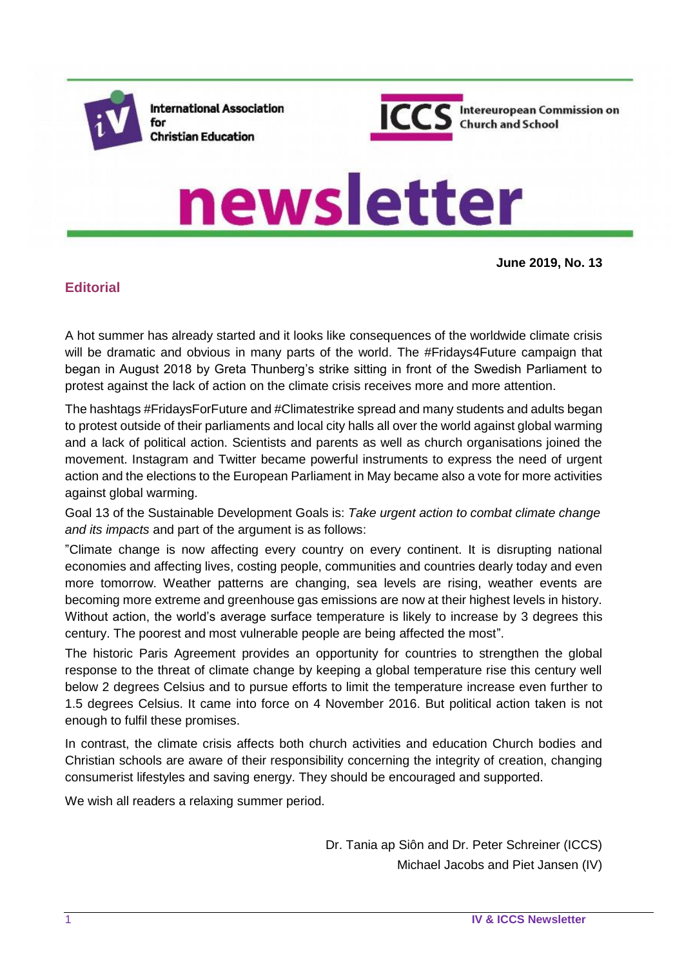

**International Association** for **Christian Education** 



Intereuropean Commission on **Church and School** 

# newsletter

**June 2019, No. 13**

## **Editorial**

A hot summer has already started and it looks like consequences of the worldwide climate crisis will be dramatic and obvious in many parts of the world. The #Fridays4Future campaign that began in August 2018 by Greta Thunberg's strike sitting in front of the Swedish Parliament to protest against the lack of action on the climate crisis receives more and more attention.

The hashtags #FridaysForFuture and #Climatestrike spread and many students and adults began to protest outside of their parliaments and local city halls all over the world against global warming and a lack of political action. Scientists and parents as well as church organisations joined the movement. Instagram and Twitter became powerful instruments to express the need of urgent action and the elections to the European Parliament in May became also a vote for more activities against global warming.

Goal 13 of the Sustainable Development Goals is: *Take urgent action to combat climate change and its impacts* and part of the argument is as follows:

"Climate change is now affecting every country on every continent. It is disrupting national economies and affecting lives, costing people, communities and countries dearly today and even more tomorrow. Weather patterns are changing, sea levels are rising, weather events are becoming more extreme and greenhouse gas emissions are now at their highest levels in history. Without action, the world's average surface temperature is likely to increase by 3 degrees this century. The poorest and most vulnerable people are being affected the most".

The historic [Paris Agreement](http://unfccc.int/paris_agreement/items/9485.php) provides an opportunity for countries to strengthen the global response to the threat of climate change by keeping a global temperature rise this century well below 2 degrees Celsius and to pursue efforts to limit the temperature increase even further to 1.5 degrees Celsius. It came into force on 4 November 2016. But political action taken is not enough to fulfil these promises.

In contrast, the climate crisis affects both church activities and education Church bodies and Christian schools are aware of their responsibility concerning the integrity of creation, changing consumerist lifestyles and saving energy. They should be encouraged and supported.

We wish all readers a relaxing summer period.

Dr. Tania ap Siôn and Dr. Peter Schreiner (ICCS) Michael Jacobs and Piet Jansen (IV)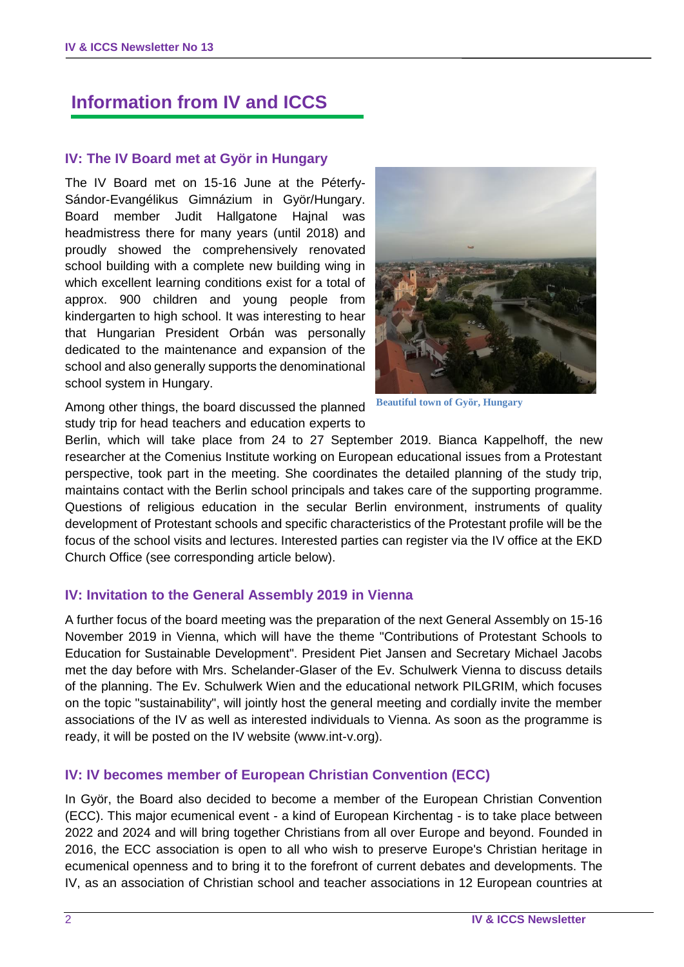## **Information from IV and ICCS**

#### **IV: The IV Board met at Györ in Hungary**

The IV Board met on 15-16 June at the Péterfy-Sándor-Evangélikus Gimnázium in Györ/Hungary. Board member Judit Hallgatone Hajnal was headmistress there for many years (until 2018) and proudly showed the comprehensively renovated school building with a complete new building wing in which excellent learning conditions exist for a total of approx. 900 children and young people from kindergarten to high school. It was interesting to hear that Hungarian President Orbán was personally dedicated to the maintenance and expansion of the school and also generally supports the denominational school system in Hungary.



**Beautiful town of Györ, Hungary**

Among other things, the board discussed the planned study trip for head teachers and education experts to

Berlin, which will take place from 24 to 27 September 2019. Bianca Kappelhoff, the new researcher at the Comenius Institute working on European educational issues from a Protestant perspective, took part in the meeting. She coordinates the detailed planning of the study trip, maintains contact with the Berlin school principals and takes care of the supporting programme. Questions of religious education in the secular Berlin environment, instruments of quality development of Protestant schools and specific characteristics of the Protestant profile will be the focus of the school visits and lectures. Interested parties can register via the IV office at the EKD Church Office (see corresponding article below).

#### **IV: Invitation to the General Assembly 2019 in Vienna**

A further focus of the board meeting was the preparation of the next General Assembly on 15-16 November 2019 in Vienna, which will have the theme "Contributions of Protestant Schools to Education for Sustainable Development". President Piet Jansen and Secretary Michael Jacobs met the day before with Mrs. Schelander-Glaser of the Ev. Schulwerk Vienna to discuss details of the planning. The Ev. Schulwerk Wien and the educational network PILGRIM, which focuses on the topic "sustainability", will jointly host the general meeting and cordially invite the member associations of the IV as well as interested individuals to Vienna. As soon as the programme is ready, it will be posted on the IV website (www.int-v.org).

## **IV: IV becomes member of European Christian Convention (ECC)**

In Györ, the Board also decided to become a member of the European Christian Convention (ECC). This major ecumenical event - a kind of European Kirchentag - is to take place between 2022 and 2024 and will bring together Christians from all over Europe and beyond. Founded in 2016, the ECC association is open to all who wish to preserve Europe's Christian heritage in ecumenical openness and to bring it to the forefront of current debates and developments. The IV, as an association of Christian school and teacher associations in 12 European countries at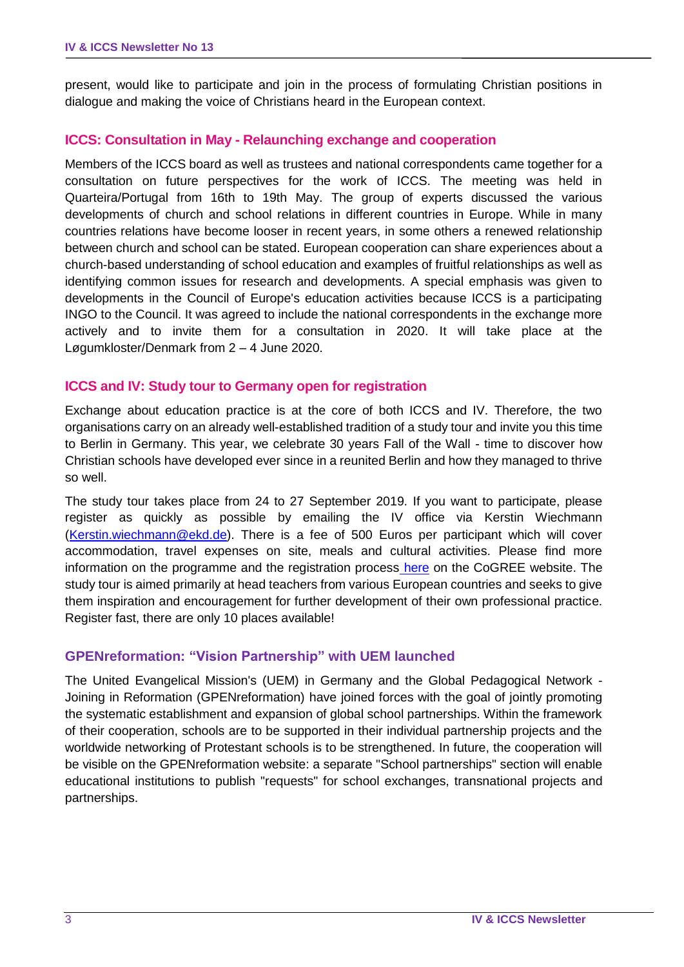present, would like to participate and join in the process of formulating Christian positions in dialogue and making the voice of Christians heard in the European context.

#### **ICCS: Consultation in May - Relaunching exchange and cooperation**

Members of the ICCS board as well as trustees and national correspondents came together for a consultation on future perspectives for the work of ICCS. The meeting was held in Quarteira/Portugal from 16th to 19th May. The group of experts discussed the various developments of church and school relations in different countries in Europe. While in many countries relations have become looser in recent years, in some others a renewed relationship between church and school can be stated. European cooperation can share experiences about a church-based understanding of school education and examples of fruitful relationships as well as identifying common issues for research and developments. A special emphasis was given to developments in the Council of Europe's education activities because ICCS is a participating INGO to the Council. It was agreed to include the national correspondents in the exchange more actively and to invite them for a consultation in 2020. It will take place at the Løgumkloster/Denmark from 2 – 4 June 2020.

#### **ICCS and IV: Study tour to Germany open for registration**

Exchange about education practice is at the core of both ICCS and IV. Therefore, the two organisations carry on an already well-established tradition of a study tour and invite you this time to Berlin in Germany. This year, we celebrate 30 years Fall of the Wall - time to discover how Christian schools have developed ever since in a reunited Berlin and how they managed to thrive so well.

The study tour takes place from 24 to 27 September 2019. If you want to participate, please register as quickly as possible by emailing the IV office via Kerstin Wiechmann [\(Kerstin.wiechmann@ekd.de\)](mailto:Kerstin.wiechmann@ekd.de). There is a fee of 500 Euros per participant which will cover accommodation, travel expenses on site, meals and cultural activities. Please find more information on the programme and the registration process [here](https://cogree.org/2019/06/13/study-tour-berlin-registration-until-30-june/) on the CoGREE website. The study tour is aimed primarily at head teachers from various European countries and seeks to give them inspiration and encouragement for further development of their own professional practice. Register fast, there are only 10 places available!

#### **GPENreformation: "Vision Partnership" with UEM launched**

The United Evangelical Mission's (UEM) in Germany and the Global Pedagogical Network - Joining in Reformation (GPENreformation) have joined forces with the goal of jointly promoting the systematic establishment and expansion of global school partnerships. Within the framework of their cooperation, schools are to be supported in their individual partnership projects and the worldwide networking of Protestant schools is to be strengthened. In future, the cooperation will be visible on the GPENreformation website: a separate "School partnerships" section will enable educational institutions to publish "requests" for school exchanges, transnational projects and partnerships.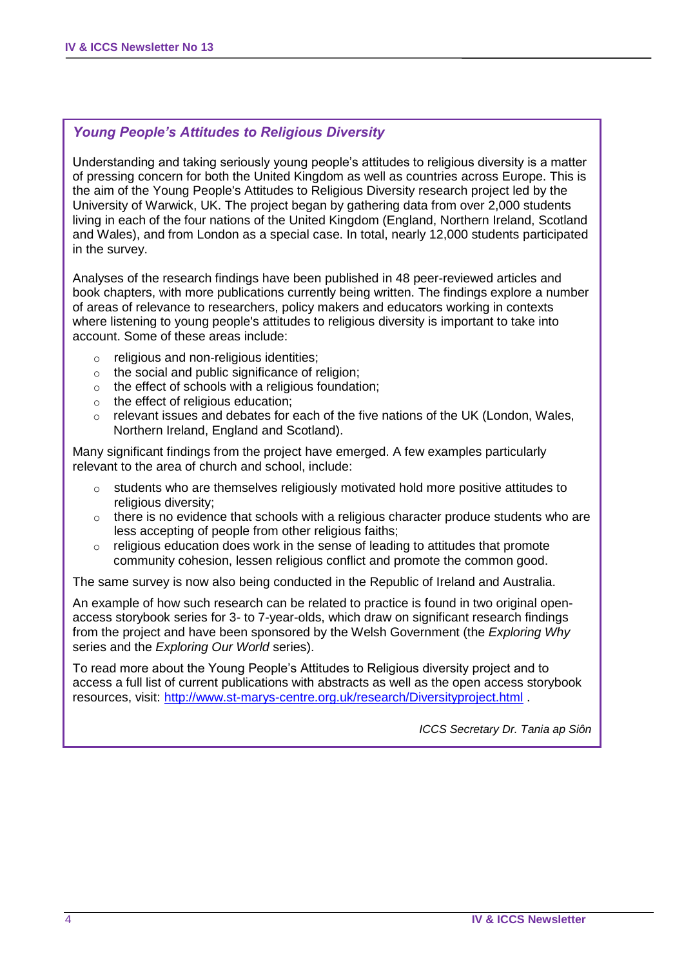## *Young People's Attitudes to Religious Diversity*

Understanding and taking seriously young people's attitudes to religious diversity is a matter of pressing concern for both the United Kingdom as well as countries across Europe. This is the aim of the Young People's Attitudes to Religious Diversity research project led by the University of Warwick, UK. The project began by gathering data from over 2,000 students living in each of the four nations of the United Kingdom (England, Northern Ireland, Scotland and Wales), and from London as a special case. In total, nearly 12,000 students participated in the survey.

Analyses of the research findings have been published in 48 peer-reviewed articles and book chapters, with more publications currently being written. The findings explore a number of areas of relevance to researchers, policy makers and educators working in contexts where listening to young people's attitudes to religious diversity is important to take into account. Some of these areas include:

- o religious and non-religious identities;
- o the social and public significance of religion;
- o the effect of schools with a religious foundation;
- o the effect of religious education;
- $\circ$  relevant issues and debates for each of the five nations of the UK (London, Wales, Northern Ireland, England and Scotland).

Many significant findings from the project have emerged. A few examples particularly relevant to the area of church and school, include:

- o students who are themselves religiously motivated hold more positive attitudes to religious diversity:
- $\circ$  there is no evidence that schools with a religious character produce students who are less accepting of people from other religious faiths;
- $\circ$  religious education does work in the sense of leading to attitudes that promote community cohesion, lessen religious conflict and promote the common good.

The same survey is now also being conducted in the Republic of Ireland and Australia.

An example of how such research can be related to practice is found in two original openaccess storybook series for 3- to 7-year-olds, which draw on significant research findings from the project and have been sponsored by the Welsh Government (the *Exploring Why*  series and the *Exploring Our World* series).

To read more about the Young People's Attitudes to Religious diversity project and to access a full list of current publications with abstracts as well as the open access storybook resources, visit: <http://www.st-marys-centre.org.uk/research/Diversityproject.html> .

*ICCS Secretary Dr. Tania ap Siôn*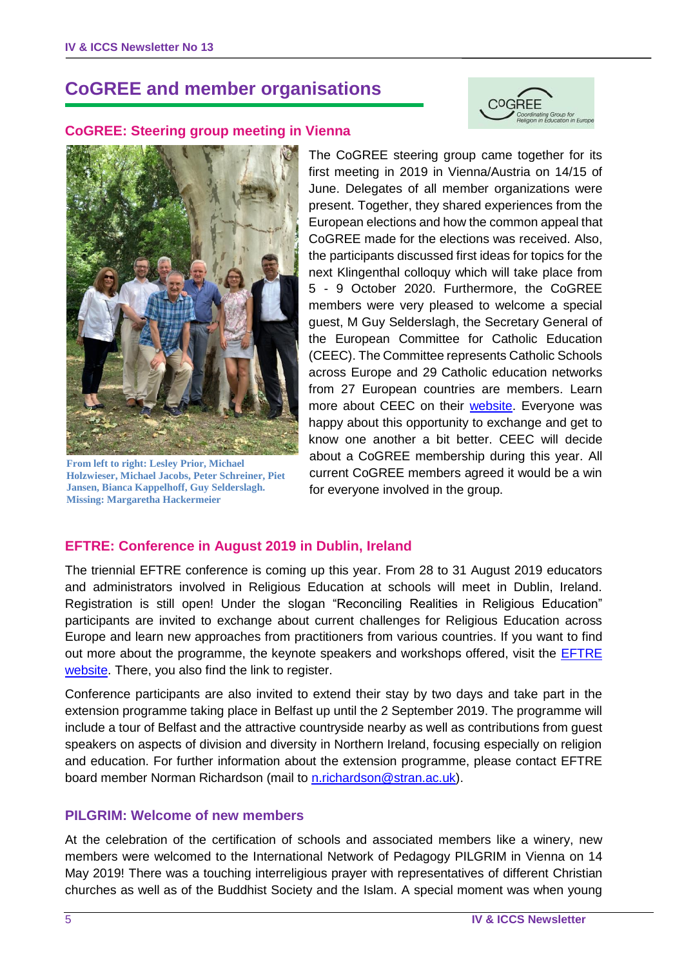## **CoGREE and member organisations**



#### **CoGREE: Steering group meeting in Vienna**



**From left to right: Lesley Prior, Michael Holzwieser, Michael Jacobs, Peter Schreiner, Piet Jansen, Bianca Kappelhoff, Guy Selderslagh. Missing: Margaretha Hackermeier**

The CoGREE steering group came together for its first meeting in 2019 in Vienna/Austria on 14/15 of June. Delegates of all member organizations were present. Together, they shared experiences from the European elections and how the common appeal that CoGREE made for the elections was received. Also, the participants discussed first ideas for topics for the next Klingenthal colloquy which will take place from 5 - 9 October 2020. Furthermore, the CoGREE members were very pleased to welcome a special guest, M Guy Selderslagh, the Secretary General of the European Committee for Catholic Education (CEEC). The Committee represents Catholic Schools across Europe and 29 Catholic education networks from 27 European countries are members. Learn more about CEEC on their [website.](http://ceec.be/) Everyone was happy about this opportunity to exchange and get to know one another a bit better. CEEC will decide about a CoGREE membership during this year. All current CoGREE members agreed it would be a win for everyone involved in the group.

#### **EFTRE: Conference in August 2019 in Dublin, Ireland**

The triennial EFTRE conference is coming up this year. From 28 to 31 August 2019 educators and administrators involved in Religious Education at schools will meet in Dublin, Ireland. Registration is still open! Under the slogan "Reconciling Realities in Religious Education" participants are invited to exchange about current challenges for Religious Education across Europe and learn new approaches from practitioners from various countries. If you want to find out more about the programme, the keynote speakers and workshops offered, visit the [EFTRE](http://www.eftre.net/)  [website.](http://www.eftre.net/) There, you also find the link to register.

Conference participants are also invited to extend their stay by two days and take part in the extension programme taking place in Belfast up until the 2 September 2019. The programme will include a tour of Belfast and the attractive countryside nearby as well as contributions from guest speakers on aspects of division and diversity in Northern Ireland, focusing especially on religion and education. For further information about the extension programme, please contact EFTRE board member Norman Richardson (mail to [n.richardson@stran.ac.uk\)](mailto:n.richardson@stran.ac.uk).

#### **PILGRIM: Welcome of new members**

At the celebration of the certification of schools and associated members like a winery, new members were welcomed to the International Network of Pedagogy PILGRIM in Vienna on 14 May 2019! There was a touching interreligious prayer with representatives of different Christian churches as well as of the Buddhist Society and the Islam. A special moment was when young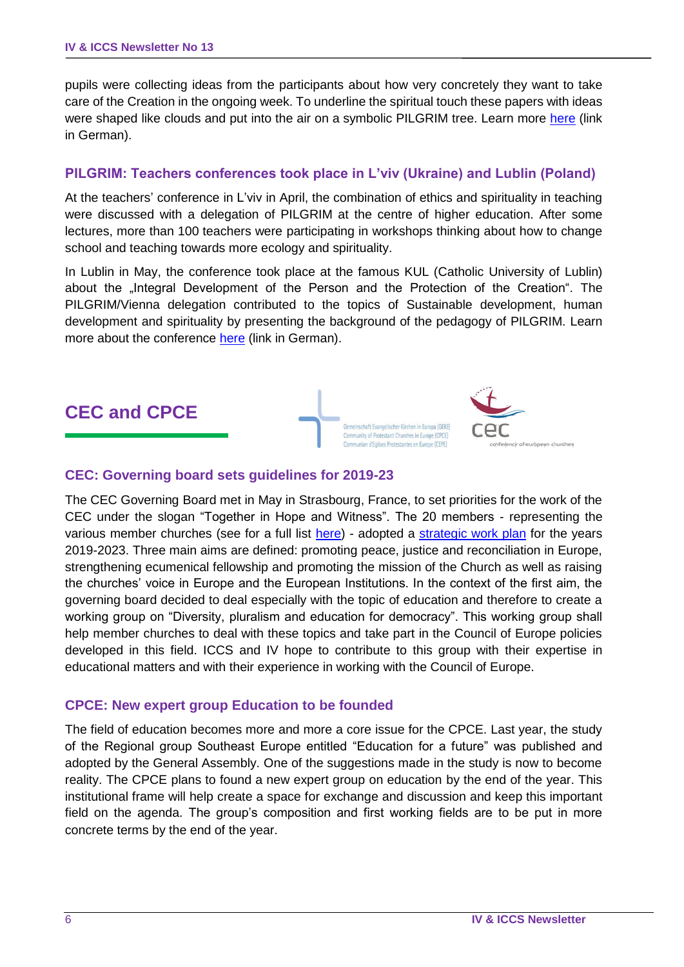pupils were collecting ideas from the participants about how very concretely they want to take care of the Creation in the ongoing week. To underline the spiritual touch these papers with ideas were shaped like clouds and put into the air on a symbolic PILGRIM tree. Learn more [here](http://pilgrim.at/news/192.html) (link in German).

#### **PILGRIM: Teachers conferences took place in L'viv (Ukraine) and Lublin (Poland)**

At the teachers' conference in L'viv in April, the combination of ethics and spirituality in teaching were discussed with a delegation of PILGRIM at the centre of higher education. After some lectures, more than 100 teachers were participating in workshops thinking about how to change school and teaching towards more ecology and spirituality.

In Lublin in May, the conference took place at the famous KUL (Catholic University of Lublin) about the "Integral Development of the Person and the Protection of the Creation". The PILGRIM/Vienna delegation contributed to the topics of Sustainable development, human development and spirituality by presenting the background of the pedagogy of PILGRIM. Learn more about the conference [here](http://pilgrim.at/news/193.html) (link in German).



#### **CEC: Governing board sets guidelines for 2019-23**

The CEC Governing Board met in May in Strasbourg, France, to set priorities for the work of the CEC under the slogan "Together in Hope and Witness". The 20 members - representing the various member churches (see for a full list [here\)](https://www.ceceurope.org/governing-board/) - adopted a [strategic work plan](https://www.ceceurope.org/cec-finalises-strategic-plans-governing-board-makes-decisions/) for the years 2019-2023. Three main aims are defined: promoting peace, justice and reconciliation in Europe, strengthening ecumenical fellowship and promoting the mission of the Church as well as raising the churches' voice in Europe and the European Institutions. In the context of the first aim, the governing board decided to deal especially with the topic of education and therefore to create a working group on "Diversity, pluralism and education for democracy". This working group shall help member churches to deal with these topics and take part in the Council of Europe policies developed in this field. ICCS and IV hope to contribute to this group with their expertise in educational matters and with their experience in working with the Council of Europe.

#### **CPCE: New expert group Education to be founded**

The field of education becomes more and more a core issue for the CPCE. Last year, the study of the Regional group Southeast Europe entitled "Education for a future" was published and adopted by the General Assembly. One of the suggestions made in the study is now to become reality. The CPCE plans to found a new expert group on education by the end of the year. This institutional frame will help create a space for exchange and discussion and keep this important field on the agenda. The group's composition and first working fields are to be put in more concrete terms by the end of the year.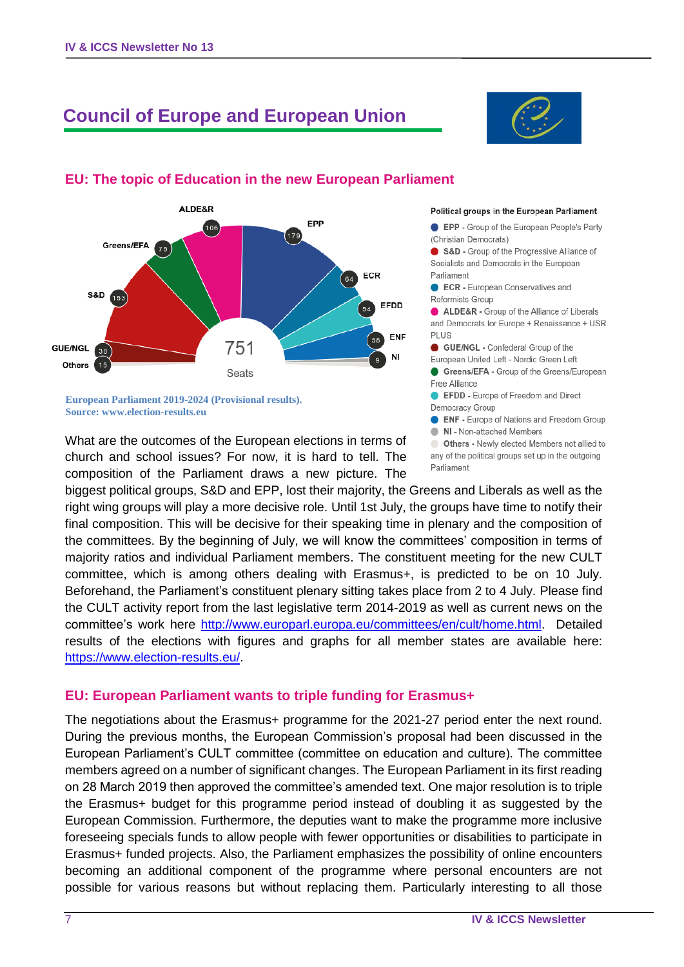# **Council of Europe and European Union**

**EU: The topic of Education in the new European Parliament** 



#### ALDE&R EPP 106 ,<br>179 Greens/EFA  $75$ ECR 64 S&D  $(153)$ EFDD 54 **ENF** ้ 58 751 GUE/NGL 38 NI Others  $1.5$ Seats

**European Parliament 2019-2024 (Provisional results). Source: www.election-results.eu**

What are the outcomes of the European elections in terms of church and school issues? For now, it is hard to tell. The composition of the Parliament draws a new picture. The

#### Political groups in the European Parliament

**EPP** - Group of the European People's Party (Christian Democrats)

S&D - Group of the Progressive Alliance of Socialists and Democrats in the European Parliament

ECR - European Conservatives and Reformists Group

ALDE&R - Group of the Alliance of Liberals and Democrats for Europe + Renaissance + USR **PLUS** 

GUE/NGL - Confederal Group of the

European United Left - Nordic Green Left Greens/EFA - Group of the Greens/European Free Alliance

EFDD - Europe of Freedom and Direct Democracy Group

**ENF** - Europe of Nations and Freedom Group

NI - Non-attached Members

Others - Newly elected Members not allied to any of the political groups set up in the outgoing Parliament

biggest political groups, S&D and EPP, lost their majority, the Greens and Liberals as well as the right wing groups will play a more decisive role. Until 1st July, the groups have time to notify their final composition. This will be decisive for their speaking time in plenary and the composition of the committees. By the beginning of July, we will know the committees' composition in terms of majority ratios and individual Parliament members. The constituent meeting for the new CULT committee, which is among others dealing with Erasmus+, is predicted to be on 10 July. Beforehand, the Parliament's constituent plenary sitting takes place from 2 to 4 July. Please find the CULT activity report from the last legislative term 2014-2019 as well as current news on the committee's work here [http://www.europarl.europa.eu/committees/en/cult/home.html.](http://www.europarl.europa.eu/committees/en/cult/home.html) Detailed results of the elections with figures and graphs for all member states are available here: [https://www.election-results.eu/.](https://www.election-results.eu/)

#### **EU: European Parliament wants to triple funding for Erasmus+**

The negotiations about the Erasmus+ programme for the 2021-27 period enter the next round. During the previous months, the European Commission's proposal had been discussed in the European Parliament's CULT committee (committee on education and culture). The committee members agreed on a number of significant changes. The European Parliament in its first reading on 28 March 2019 then approved the committee's amended text. One major resolution is to triple the Erasmus+ budget for this programme period instead of doubling it as suggested by the European Commission. Furthermore, the deputies want to make the programme more inclusive foreseeing specials funds to allow people with fewer opportunities or disabilities to participate in Erasmus+ funded projects. Also, the Parliament emphasizes the possibility of online encounters becoming an additional component of the programme where personal encounters are not possible for various reasons but without replacing them. Particularly interesting to all those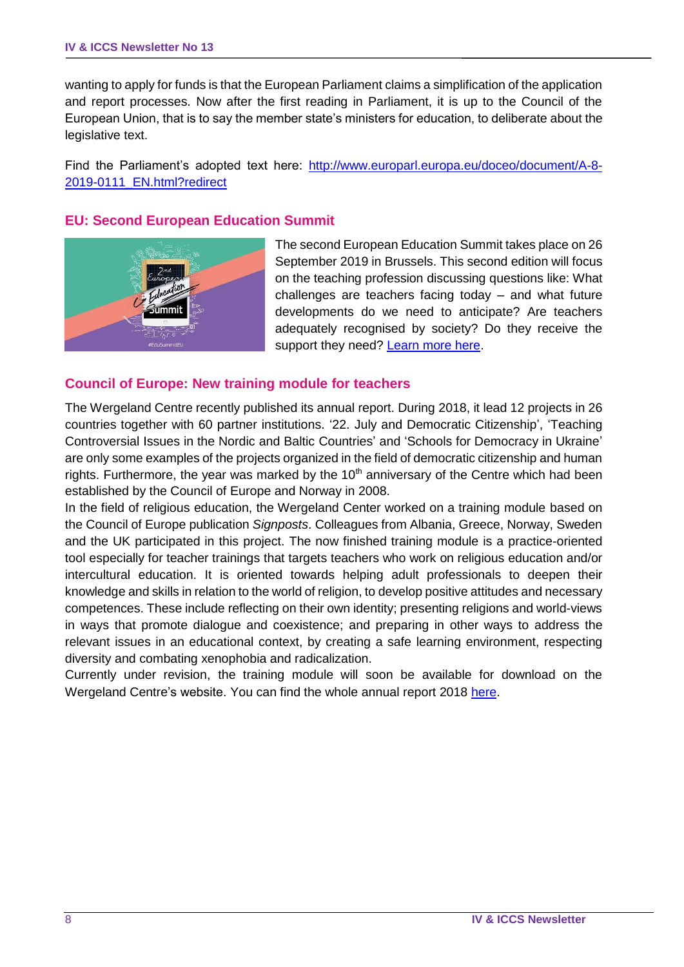wanting to apply for funds is that the European Parliament claims a simplification of the application and report processes. Now after the first reading in Parliament, it is up to the Council of the European Union, that is to say the member state's ministers for education, to deliberate about the legislative text.

Find the Parliament's adopted text here: [http://www.europarl.europa.eu/doceo/document/A-8-](http://www.europarl.europa.eu/doceo/document/A-8-2019-0111_EN.html?redirect) [2019-0111\\_EN.html?redirect](http://www.europarl.europa.eu/doceo/document/A-8-2019-0111_EN.html?redirect)

#### **EU: Second European Education Summit**



The second European Education Summit takes place on 26 September 2019 in Brussels. This second edition will focus on the teaching profession discussing questions like: What challenges are teachers facing today – and what future developments do we need to anticipate? Are teachers adequately recognised by society? Do they receive the support they need? [Learn more here.](https://ec.europa.eu/education/events/education-summit_en)

#### **Council of Europe: New training module for teachers**

The Wergeland Centre recently published its annual report. During 2018, it lead 12 projects in 26 countries together with 60 partner institutions. '22. July and Democratic Citizenship', 'Teaching Controversial Issues in the Nordic and Baltic Countries' and 'Schools for Democracy in Ukraine' are only some examples of the projects organized in the field of democratic citizenship and human rights. Furthermore, the year was marked by the  $10<sup>th</sup>$  anniversary of the Centre which had been established by the Council of Europe and Norway in 2008.

In the field of religious education, the Wergeland Center worked on a training module based on the Council of Europe publication *Signposts*. Colleagues from Albania, Greece, Norway, Sweden and the UK participated in this project. The now finished training module is a practice-oriented tool especially for teacher trainings that targets teachers who work on religious education and/or intercultural education. It is oriented towards helping adult professionals to deepen their knowledge and skills in relation to the world of religion, to develop positive attitudes and necessary competences. These include reflecting on their own identity; presenting religions and world-views in ways that promote dialogue and coexistence; and preparing in other ways to address the relevant issues in an educational context, by creating a safe learning environment, respecting diversity and combating xenophobia and radicalization.

Currently under revision, the training module will soon be available for download on the Wergeland Centre's website. You can find the whole annual report 2018 [here.](http://www.theewc.org/Content/Library/EWC-Activity-Report-2018)